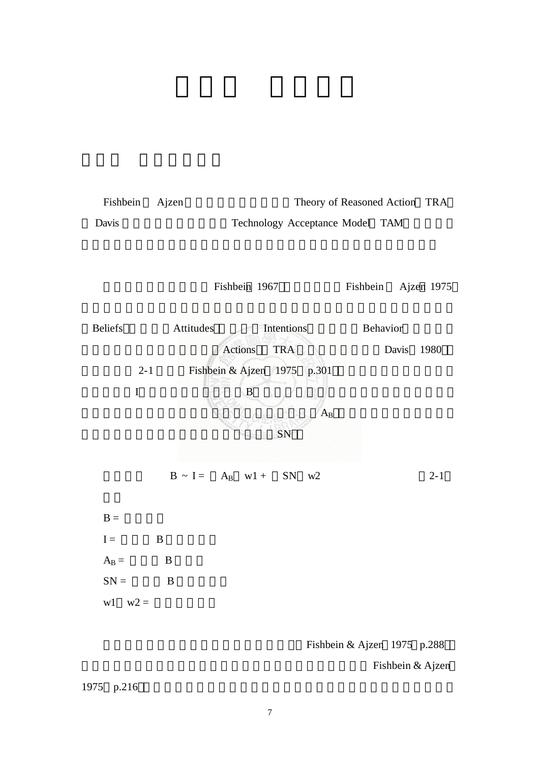



Fishbein & Ajzen 1975 p.288

Fishbein & Ajzen

1975 p.216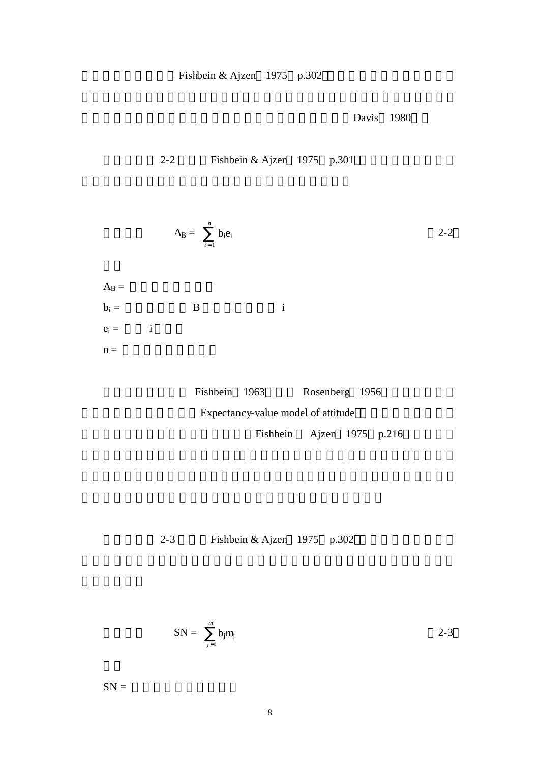Fishbein & Ajzen  $1975$  p.302

Davis 1980

方程式二如 2-2 所示(Fishbein & Ajzen 1975 p.301 ,即個人對特定行為

$$
A_B = \sum_{i=1}^n b_i e_i
$$
 2-2

 $A_B =$  $\mathbf{b}_i = \qquad \qquad \mathbf{B} \qquad \qquad \mathbf{i}$  $e_i = i$  $n =$ 

| Fishbein 1963                      |                           | Rosenberg 1956 |  |  |  |
|------------------------------------|---------------------------|----------------|--|--|--|
| Expectancy-value model of attitude |                           |                |  |  |  |
|                                    | Fishbein Ajzen 1975 p.216 |                |  |  |  |

方程式三如 2-3 所示(Fishbein & Ajzen 1975 p.302 ,即個人的主觀規範

$$
SN = \sum_{j=1}^{m} b_j m_j
$$
 2-3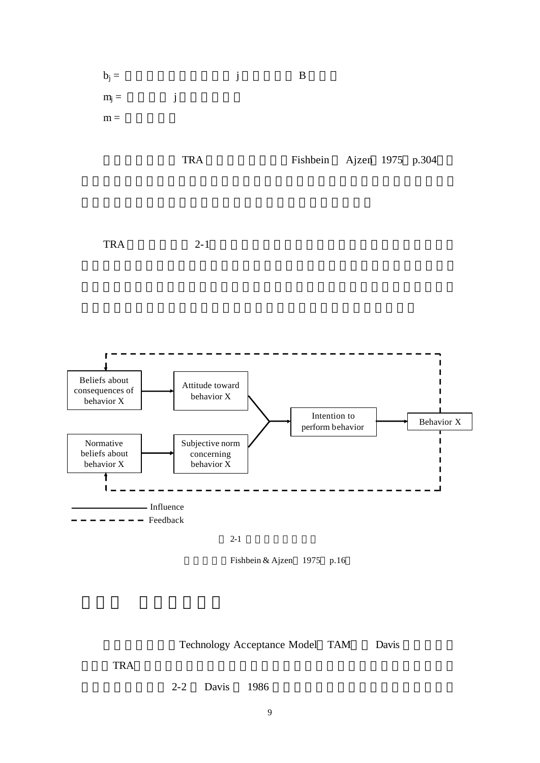

Technology Acceptance Model TAM Davis

理論(TRA)為基礎,針對組織內資訊系統使用者之使用行為進行分析所發展

2-2 Davis 1986 **1986**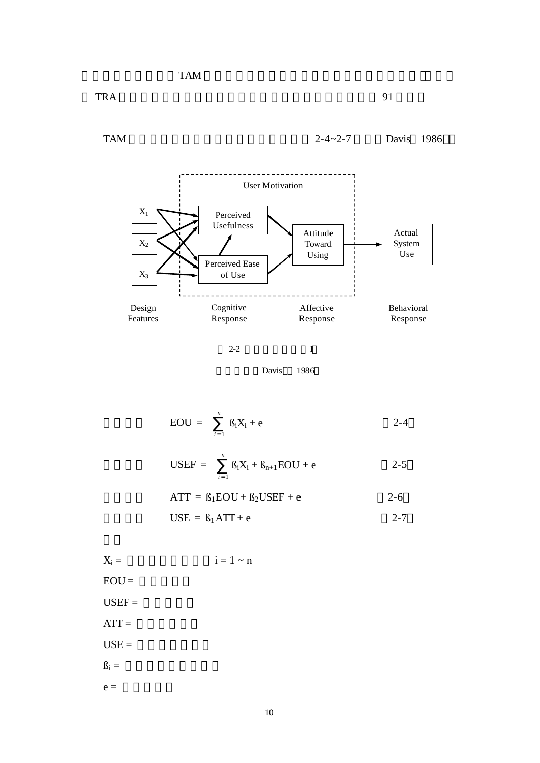$\text{TRA}$  and  $\text{PRA}$  and  $\text{PRA}$  and  $\text{PRA}$  and  $\text{PRA}$  and  $\text{PRA}$  and  $\text{PRA}$  and  $\text{PRA}$  and  $\text{PRA}$  and  $\text{PRA}$  and  $\text{PRA}$  and  $\text{PRA}$  and  $\text{PRA}$  and  $\text{PRA}$  and  $\text{PRA}$  and  $\text{PRA}$  and  $\text{PRA}$  and



Davis 1986

$$
EOU = \sum_{i=1}^{n} \beta_i X_i + e \qquad \qquad 2-4
$$

$$
USEF = \sum_{i=1}^{n} B_i X_i + B_{n+1} EOU + e
$$
 2-5

$$
ATT = \beta_1 EOU + \beta_2 USEF + e
$$
 2-6

$$
USE = \beta_1 ATT + e \qquad \qquad 2-7
$$

$$
X_i = i = 1 \sim n
$$
  
EOU =  
USEF =  
ATT =  
USE =  
 $\beta_i =$   
e =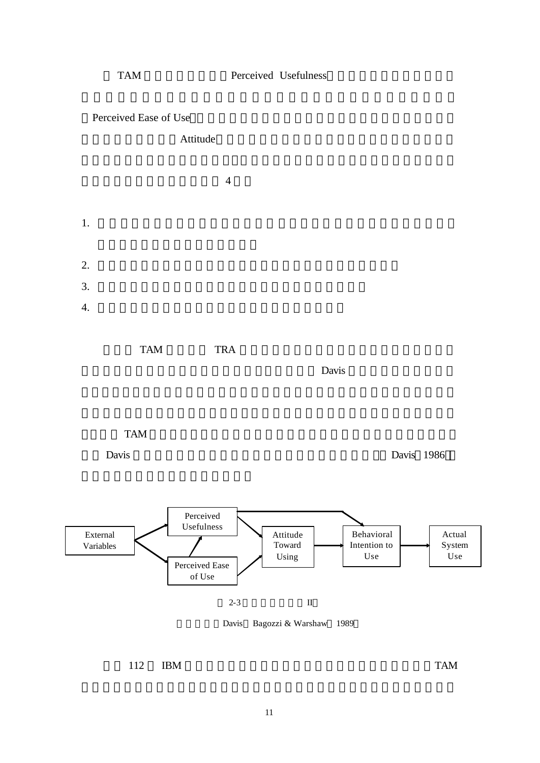

112 IBM  $TAM$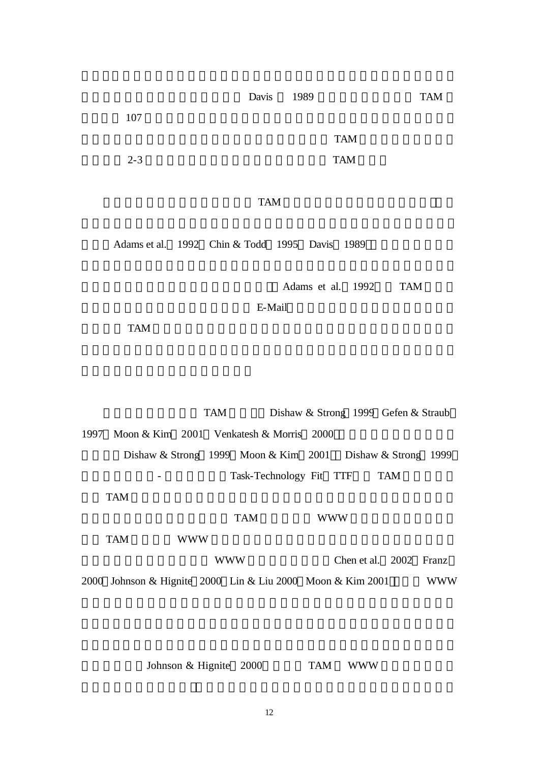ending the Davis 1989 **FAM** 

 $107$ 

 $TAM$  $2-3$  TAM

# $TAM$

Adams et al.  $1992$  Chin & Todd  $1995$  Davis 1989

Adams et al. 1992 TAM

 $E$ -Mail  $\overline{E}$ -Mail  $\overline{E}$ 

等,發現 TAM 對於不同資訊系統的行為解釋都能做一有效解釋;然而他們亦指

TAM Dishaw & Strong 1999 Gefen & Straub 1997 Moon & Kim 2001 Venkatesh & Morris 2000 外(Dishaw & Strong 1999 Moon & Kim 2001 Dishaw & Strong 1999 - Task-Technology Fit TTF TAM  $TAM$  $TAM$  www  $TAM$  www. WWW Chen et al. 2002 Franz 2000 Johnson & Hignite 2000 Lin & Liu 2000 Moon & Kim 2001 WWW

Johnson & Hignite 2000 TAM WWW

12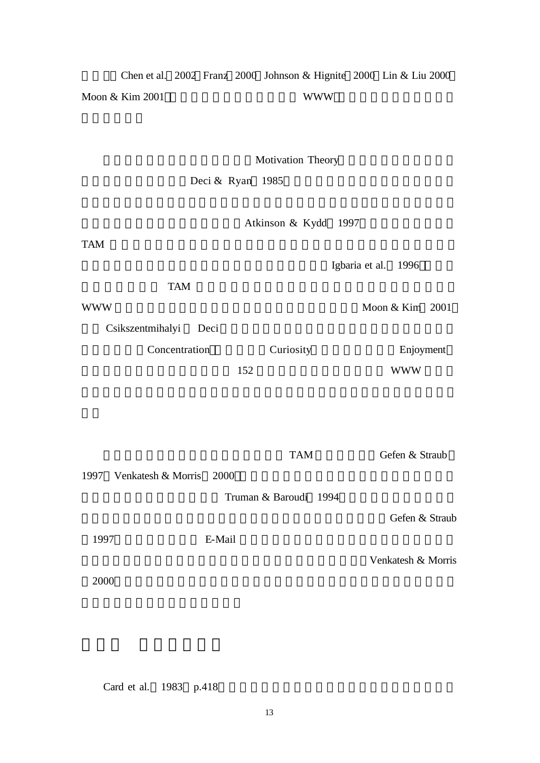度差異 Chen et al. 2002 Franz 2000 Johnson & Hignite 2000 Lin & Liu 2000 Moon & Kim 2001 , WWW \

Motivation Theory

Deci & Ryan 1985

Atkinson & Kydd 1997

 $TAM$ 

將內部動機納為 TAM 模式的一部 是可以考量的一個做法,尤其在研究為

WWW Moon & Kim 2001

Csikszentmihalyi Deci

1997 Venkatesh & Morris 2000

Concentration Curiosity Enjoyment

 $152$  WWW

Igbaria et al. 1996

TAM Gefen & Straub

Truman & Baroudi 1994

1997) The E-Mail  $E-Mail$ 

Gefen & Straub

Venkatesh & Morris

 $2000$ 

Card et al. 1983 p.418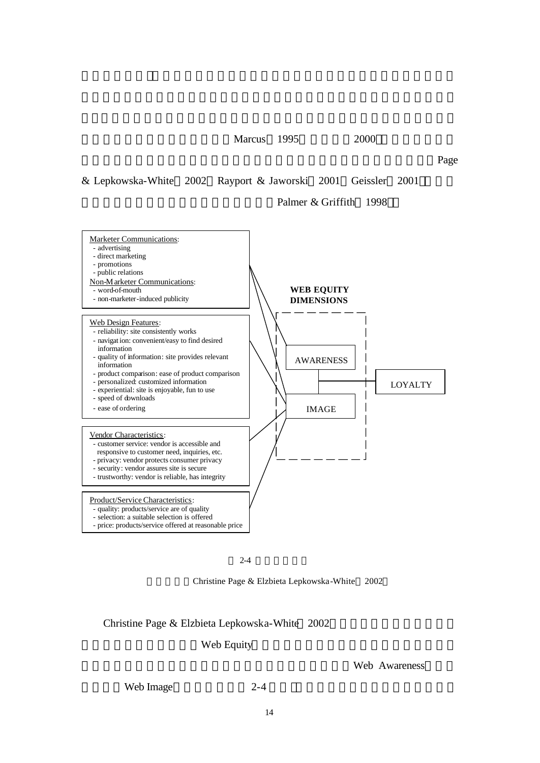Marcus 1995 2000

繼續探討網站和使用者之間的互動關係,不僅列舉了許多網站評量 標準 Page

& Lepkowska-White 2002 Rayport & Jaworski 2001 Geissler 2001

## Palmer & Griffith 1998



 $2 - 4$ 

Christine Page & Elzbieta Lepkowska-White 2002

## Christine Page & Elzbieta Lepkowska-White 2002

#### Web Equity

Web Image 2-4

Web Awareness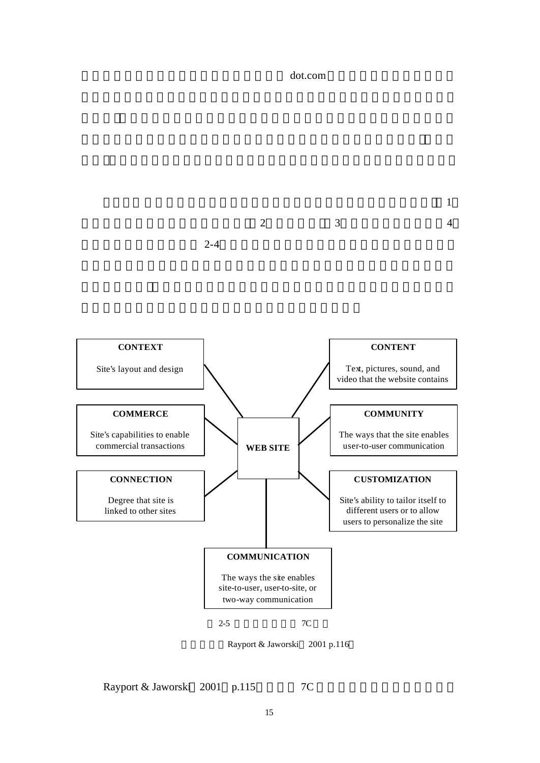

Rayport & Jaworski 2001 p.115 7C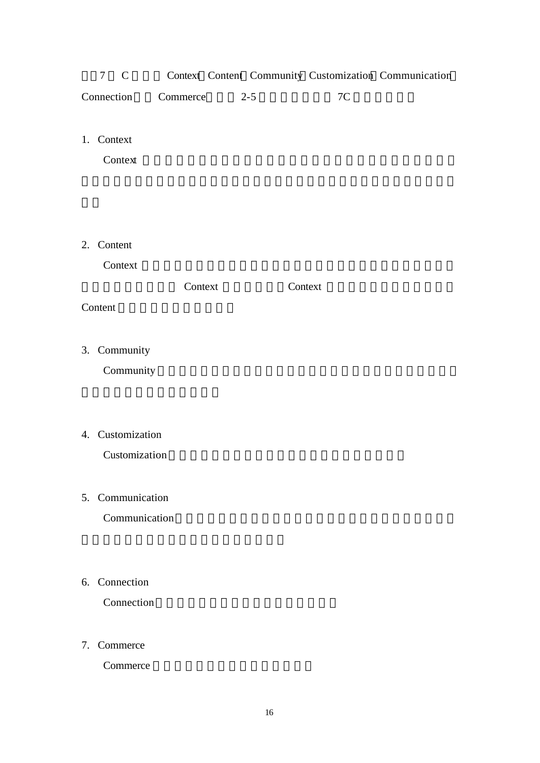| $7\degree$ C |                         |  |    | Context Content Community Customization Communication |
|--------------|-------------------------|--|----|-------------------------------------------------------|
|              | Connection Commerce 2-5 |  | 7C |                                                       |

1. Context

Context Property and American property and a set of the Second Property and American property and  $\mathcal{L}$ 

2. Content

Context **Executed** 

 $\text{Context}$  Context  $\text{Context}$ 

Content

3. Community

Community

4. Customization

Customization

- 5. Communication Communication
- 6. Connection

Connection

7. Commerce

Commerce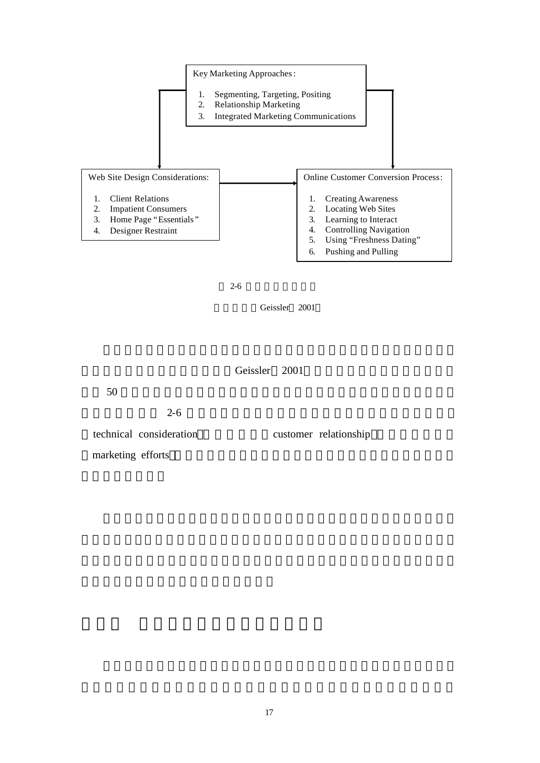

 $2 - 6$ 



Geissler 2001

 $50$ 

## $2-6$

technical consideration customer relationship

marketing efforts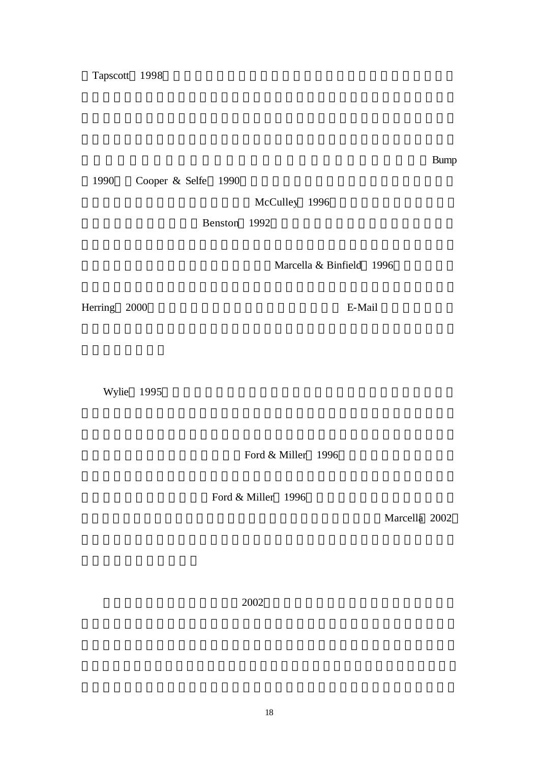1990 Cooper & Selfe 1990

McCulley 1996

Benston 1992

Marcella & Binfield 1996

Herring 2000 , E-Mail extended the E-Mail Section of the E-Mail  $E-A$ 

Wylie 1995

Ford & Miller 1996

Ford & Miller 1996

Marcella 2002

 $2002$ 

對適應以男性主導的科技有先天障礙的女性找到專屬自己的天地?Bump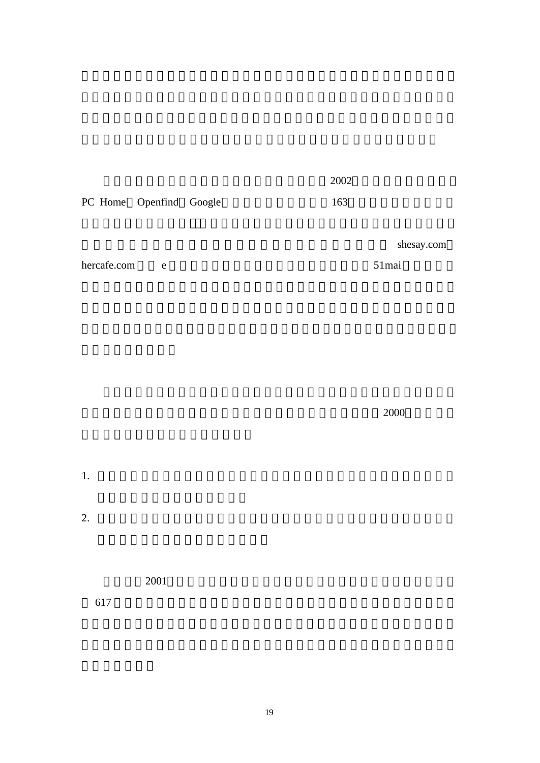|                         |  | 2002 |
|-------------------------|--|------|
| PC Home Openfind Google |  | 163  |

shesay.com

hercafe.com e 51mai

 $2000$ 

 $2001$ 

 $617$ 

 $1.$ 

 $2.$